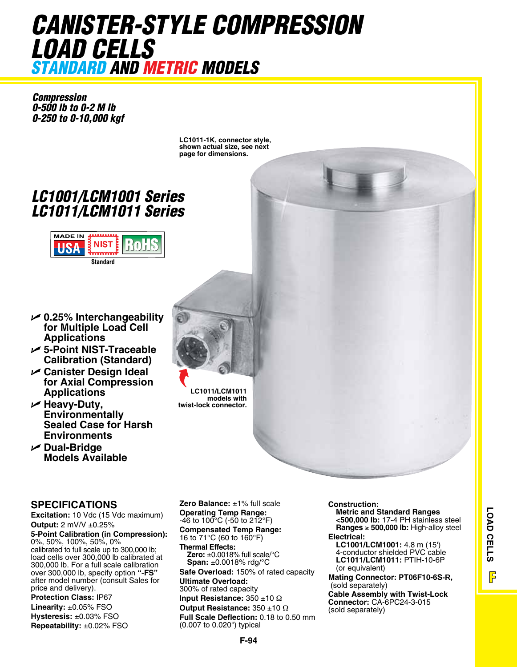## *CaNISTER-STYLE COMPRESSION LOaD CELLS STaNDaRD aND METRIC MODELS*

*Compression 0-500 lb to 0-2 M lb 0-250 to 0-10,000 kgf* 

> **LC1011-1K, connector style, shown actual size, see next page for dimensions.**

## *LC1001/LCM1001 Series LC1011/LCM1011 Series*



- U **0.25% Interchangeability for Multiple Load Cell Applications**
- U **5-Point NIST-Traceable Calibration (Standard)**
- U **Canister Design Ideal for Axial Compression Applications**
- U **Heavy-Duty, Environmentally Sealed Case for Harsh Environments**
- **∠** Dual-Bridge **Models Available**

## **SPECIFICATIONS**

**Excitation:** 10 Vdc (15 Vdc maximum) **Output:** 2 mV/V ±0.25%

**5-Point Calibration (in Compression):**  0%, 50%, 100%, 50%, 0% calibrated to full scale up to 300,000 lb; load cells over 300,000 lb calibrated at 300,000 lb. For a full scale calibration over 300,000 lb, specify option **"-FS"** after model number (consult Sales for price and delivery).

**Protection Class:** IP67 **Linearity:** ±0.05% FSO **Hysteresis:** ±0.03% FSO **Repeatability:** ±0.02% FSO **Zero Balance:** ±1% full scale **Operating Temp Range:**   $-46$  to 100 $^{\circ}$ C (-50 to 212 $^{\circ}$ F) **Compensated Temp Range:**  16 to 71°C (60 to 160°F)

**Thermal Effects: Zero:** ±0.0018% full scale/°C **Span:** ±0.0018% rdg/°C

**Safe Overload:** 150% of rated capacity **Ultimate Overload:**

300% of rated capacity

**Input Resistance:** 350 ±10 Ω

**Output Resistance:** 350 ±10 Ω

**Full Scale Deflection:** 0.18 to 0.50 mm (0.007 to 0.020") typical

## **Construction:**

**Metric and Standard Ranges <500,000 lb:** 17-4 PH stainless steel **Ranges** ≥ **500,000 lb:** High-alloy steel **Electrical:** 

**LC1001/LCM1001:** 4.8 m (15') 4-conductor shielded PVC cable **LC1011/LCM1011:** PTIH-10-6P (or equivalent)

**Mating Connector: PT06F10-6S-R,** (sold separately)

**Cable Assembly with Twist-Lock Connector:** CA-6PC24-3-015 (sold separately)

**LC1011/LCM1011 models with twist-lock connector.**